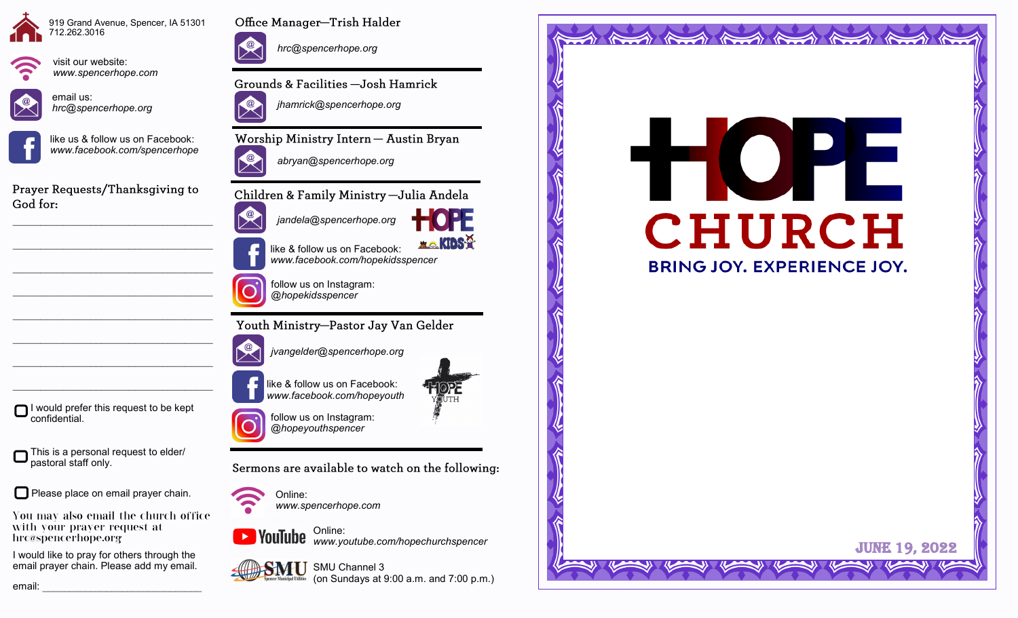



visit our website:



*www.spencerhope.com*

email us: *hrc@spencerhope.org*



like us & follow us on Facebook: *www.facebook.com/spencerhope*

Prayer Requests/Thanksgiving to God for:

 $\mathcal{L}_\text{max}$  , and the set of the set of the set of the set of the set of the set of the set of the set of the set of the set of the set of the set of the set of the set of the set of the set of the set of the set of the

 $\mathcal{L}_\text{max}$  , and the set of the set of the set of the set of the set of the set of the set of the set of the set of the set of the set of the set of the set of the set of the set of the set of the set of the set of the

 $\mathcal{L}_\text{max}$  , and the set of the set of the set of the set of the set of the set of the set of the set of the set of the set of the set of the set of the set of the set of the set of the set of the set of the set of the

 $\mathcal{L}_\text{max}$ 

 $\mathcal{L}_\text{max}$ 

 $\mathcal{L}_\text{max}$ 

I would prefer this request to be kept

This is a personal request to elder/

Please place on email prayer chain.

You may also email the church office

I would like to pray for others through the email prayer chain. Please add my email.

with your prayer request at

confidential.

pastoral staff only.

hrc@spencerhope.org



Office Manager-Trish Halder

*hrc@spencerhope.org*

Grounds & Facilities -Josh Hamrick



Worship Ministry Intern - Austin Bryan



Children & Family Ministry - Julia Andela



like & follow us on Facebook: *www.facebook.com/hopekidsspencer*

**XO.KIDS?** 

follow us on Instagram: *@hopekidsspencer*

Youth Ministry-Pastor Jay Van Gelder



like & follow us on Facebook: *www.facebook.com/hopeyouth*



follow us on Instagram: *@hopeyouthspencer*

Sermons are available to watch on the following:



Online: *www.spencerhope.com*



Online: *www.youtube.com/hopechurchspencer*





tilities (on Sundays at 9:00 a.m. and 7:00 p.m.)